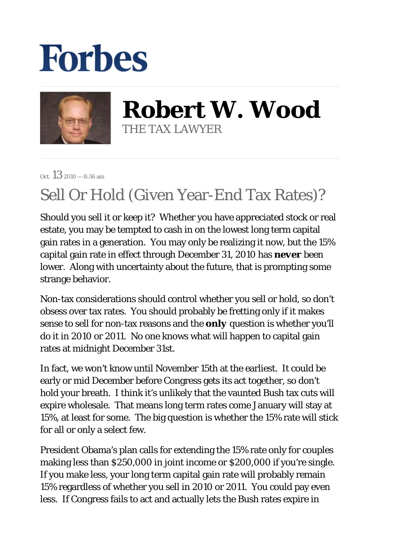## **Forbes**



**Robert W. Wood** THE TAX LAWYER

Oct.  $13_{2010} - 8:36$  am

## Sell Or Hold (Given Year-End Tax Rates)?

Should you sell it or keep it? Whether you have appreciated stock or real estate, you may be tempted to cash in on the lowest long term capital gain rates in a generation. You may only be realizing it now, but the 15% capital gain rate in effect through December 31, 2010 has *never* been lower. Along with uncertainty about the future, that is prompting some strange behavior.

Non-tax considerations should control whether you sell or hold, so don't obsess over tax rates. You should probably be fretting only if it makes sense to sell for non-tax reasons and the *only* question is whether you'll do it in 2010 or 2011. No one knows what will happen to capital gain rates at midnight December 31st.

In fact, we won't know until November 15th at the earliest. It could be early or mid December before Congress gets its act together, so don't hold your breath. I think it's unlikely that the vaunted Bush tax cuts will expire wholesale. That means long term rates come January will stay at 15%, at least for some. The big question is whether the 15% rate will stick for all or only a select few.

President Obama's plan calls for extending the 15% rate only for couples making less than \$250,000 in joint income or \$200,000 if you're single. If you make less, your long term capital gain rate will probably remain 15% regardless of whether you sell in 2010 or 2011. You could pay even less. If Congress fails to act and actually lets the Bush rates expire in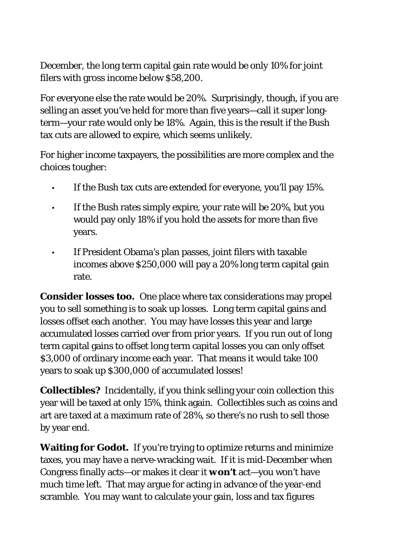December, the long term capital gain rate would be only 10% for joint filers with gross income below \$58,200.

For everyone else the rate would be 20%. Surprisingly, though, if you are selling an asset you've held for more than five years—call it super longterm—your rate would only be 18%. Again, this is the result if the Bush tax cuts are allowed to expire, which seems unlikely.

For higher income taxpayers, the possibilities are more complex and the choices tougher:

- If the Bush tax cuts are extended for everyone, you'll pay 15%.
- If the Bush rates simply expire, your rate will be 20%, but you would pay only 18% if you hold the assets for more than five years. •
- If President Obama's plan passes, joint filers with taxable incomes above \$250,000 will pay a 20% long term capital gain rate. •

**Consider losses too***.* One place where tax considerations may propel you to sell something is to soak up losses. Long term capital gains and losses offset each another. You may have losses this year and large accumulated losses carried over from prior years. If you run out of long term capital gains to offset long term capital losses you can only offset \$3,000 of ordinary income each year. That means it would take 100 years to soak up \$300,000 of accumulated losses!

**Collectibles?** Incidentally, if you think selling your coin collection this year will be taxed at only 15%, think again. Collectibles such as coins and art are taxed at a maximum rate of 28%, so there's no rush to sell those by year end.

**Waiting for Godot.** If you're trying to optimize returns and minimize taxes, you may have a nerve-wracking wait. If it is mid-December when Congress finally acts—or makes it clear it *won't* act—you won't have much time left. That may argue for acting in advance of the year-end scramble. You may want to calculate your gain, loss and tax figures